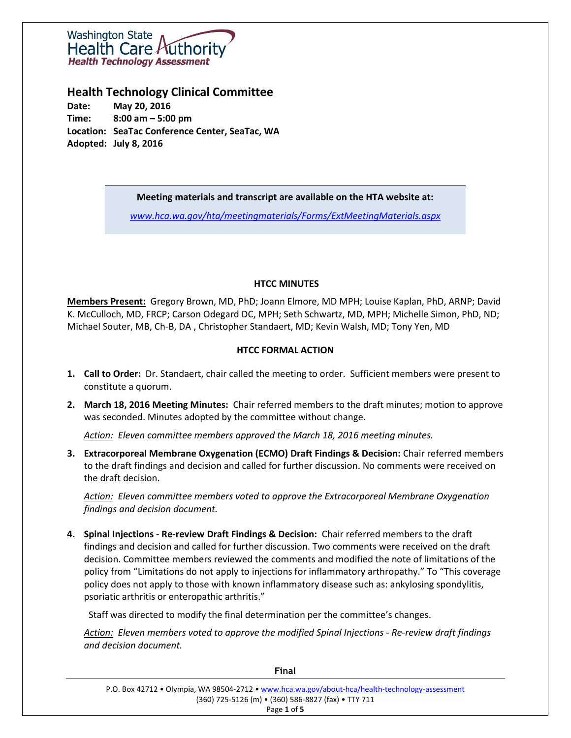

# **Health Technology Clinical Committee**

**Date: May 20, 2016 Time: 8:00 am – 5:00 pm Location: SeaTac Conference Center, SeaTac, WA Adopted: July 8, 2016**

## **Meeting materials and transcript are available on the HTA website at:**

*[www.hca.wa.gov/hta/meetingmaterials/Forms/ExtMeetingMaterials.aspx](http://www.hca.wa.gov/hta/meetingmaterials/Forms/ExtMeetingMaterials.aspx)*

## **HTCC MINUTES**

**Members Present:** Gregory Brown, MD, PhD; Joann Elmore, MD MPH; Louise Kaplan, PhD, ARNP; David K. McCulloch, MD, FRCP; Carson Odegard DC, MPH; Seth Schwartz, MD, MPH; Michelle Simon, PhD, ND; Michael Souter, MB, Ch-B, DA , Christopher Standaert, MD; Kevin Walsh, MD; Tony Yen, MD

## **HTCC FORMAL ACTION**

- **1. Call to Order:** Dr. Standaert, chair called the meeting to order. Sufficient members were present to constitute a quorum.
- **2. March 18, 2016 Meeting Minutes:** Chair referred members to the draft minutes; motion to approve was seconded. Minutes adopted by the committee without change.

*Action: Eleven committee members approved the March 18, 2016 meeting minutes.*

**3. Extracorporeal Membrane Oxygenation (ECMO) Draft Findings & Decision:** Chair referred members to the draft findings and decision and called for further discussion. No comments were received on the draft decision.

*Action: Eleven committee members voted to approve the Extracorporeal Membrane Oxygenation findings and decision document.*

**4. Spinal Injections - Re-review Draft Findings & Decision:** Chair referred members to the draft findings and decision and called for further discussion. Two comments were received on the draft decision. Committee members reviewed the comments and modified the note of limitations of the policy from "Limitations do not apply to injections for inflammatory arthropathy." To "This coverage policy does not apply to those with known inflammatory disease such as: ankylosing spondylitis, psoriatic arthritis or enteropathic arthritis."

Staff was directed to modify the final determination per the committee's changes.

*Action: Eleven members voted to approve the modified Spinal Injections - Re-review draft findings and decision document.*

| P.O. Box 42712 • Olympia, WA 98504-2712 • www.hca.wa.gov/about-hca/health-technology-assessment |
|-------------------------------------------------------------------------------------------------|
| (360) 725-5126 (m) • (360) 586-8827 (fax) • TTY 711                                             |
| Page 1 of 5                                                                                     |

**Final**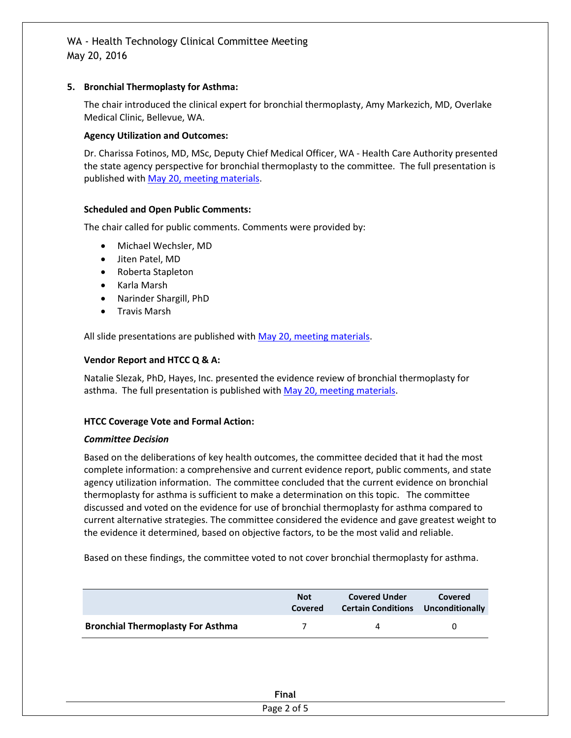## **5. Bronchial Thermoplasty for Asthma:**

The chair introduced the clinical expert for bronchial thermoplasty, Amy Markezich, MD, Overlake Medical Clinic, Bellevue, WA.

## **Agency Utilization and Outcomes:**

Dr. Charissa Fotinos, MD, MSc, Deputy Chief Medical Officer, WA - Health Care Authority presented the state agency perspective for bronchial thermoplasty to the committee. The full presentation is published with May 20, [meeting materials.](http://www.hca.wa.gov/hta/meetingmaterials/Forms/ExtMeetingMaterials.aspx)

## **Scheduled and Open Public Comments:**

The chair called for public comments. Comments were provided by:

- Michael Wechsler, MD
- Jiten Patel, MD
- Roberta Stapleton
- Karla Marsh
- Narinder Shargill, PhD
- Travis Marsh

All slide presentations are published with [May 20, meeting materials.](http://www.hca.wa.gov/hta/meetingmaterials/Forms/ExtMeetingMaterials.aspx)

## **Vendor Report and HTCC Q & A:**

Natalie Slezak, PhD, Hayes, Inc. presented the evidence review of bronchial thermoplasty for asthma. The full presentation is published with [May 20, meeting materials.](http://www.hca.wa.gov/hta/meetingmaterials/Forms/ExtMeetingMaterials.aspx)

## **HTCC Coverage Vote and Formal Action:**

## *Committee Decision*

Based on the deliberations of key health outcomes, the committee decided that it had the most complete information: a comprehensive and current evidence report, public comments, and state agency utilization information. The committee concluded that the current evidence on bronchial thermoplasty for asthma is sufficient to make a determination on this topic. The committee discussed and voted on the evidence for use of bronchial thermoplasty for asthma compared to current alternative strategies. The committee considered the evidence and gave greatest weight to the evidence it determined, based on objective factors, to be the most valid and reliable.

Based on these findings, the committee voted to not cover bronchial thermoplasty for asthma.

|                                          | <b>Not</b><br>Covered | <b>Covered Under</b><br><b>Certain Conditions Unconditionally</b> | Covered |
|------------------------------------------|-----------------------|-------------------------------------------------------------------|---------|
| <b>Bronchial Thermoplasty For Asthma</b> |                       | Д                                                                 |         |

| Final<br>- ------ |  |
|-------------------|--|
| Page 2 of 5       |  |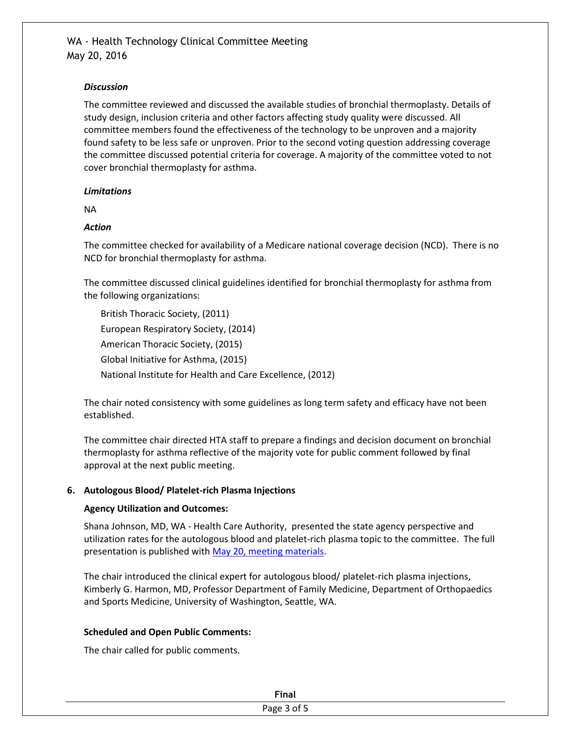## *Discussion*

The committee reviewed and discussed the available studies of bronchial thermoplasty. Details of study design, inclusion criteria and other factors affecting study quality were discussed. All committee members found the effectiveness of the technology to be unproven and a majority found safety to be less safe or unproven. Prior to the second voting question addressing coverage the committee discussed potential criteria for coverage. A majority of the committee voted to not cover bronchial thermoplasty for asthma.

## *Limitations*

NA

## *Action*

The committee checked for availability of a Medicare national coverage decision (NCD). There is no NCD for bronchial thermoplasty for asthma.

The committee discussed clinical guidelines identified for bronchial thermoplasty for asthma from the following organizations:

British Thoracic Society, (2011) European Respiratory Society, (2014) American Thoracic Society, (2015) Global Initiative for Asthma, (2015) National Institute for Health and Care Excellence, (2012)

The chair noted consistency with some guidelines as long term safety and efficacy have not been established.

The committee chair directed HTA staff to prepare a findings and decision document on bronchial thermoplasty for asthma reflective of the majority vote for public comment followed by final approval at the next public meeting.

## **6. Autologous Blood/ Platelet-rich Plasma Injections**

## **Agency Utilization and Outcomes:**

Shana Johnson, MD, WA - Health Care Authority, presented the state agency perspective and utilization rates for the autologous blood and platelet-rich plasma topic to the committee. The full presentation is published wit[h May 20, meeting materials.](http://www.hca.wa.gov/hta/meetingmaterials/Forms/ExtMeetingMaterials.aspx)

The chair introduced the clinical expert for autologous blood/ platelet-rich plasma injections, Kimberly G. Harmon, MD, Professor Department of Family Medicine, Department of Orthopaedics and Sports Medicine, University of Washington, Seattle, WA.

## **Scheduled and Open Public Comments:**

The chair called for public comments.

| <b>Tinny</b><br>гшаг    |
|-------------------------|
| Page 5<br><b>3 of 5</b> |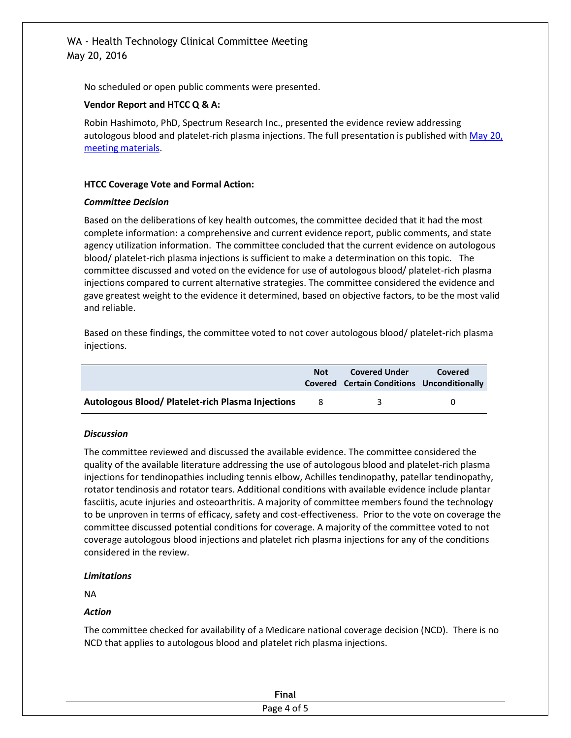# WA - Health Technology Clinical Committee Meeting May 20, 2016

No scheduled or open public comments were presented.

#### **Vendor Report and HTCC Q & A:**

Robin Hashimoto, PhD, Spectrum Research Inc., presented the evidence review addressing autologous blood and platelet-rich plasma injections. The full presentation is published wit[h May 20,](http://www.hca.wa.gov/hta/meetingmaterials/Forms/ExtMeetingMaterials.aspx) [meeting materials.](http://www.hca.wa.gov/hta/meetingmaterials/Forms/ExtMeetingMaterials.aspx)

#### **HTCC Coverage Vote and Formal Action:**

#### *Committee Decision*

Based on the deliberations of key health outcomes, the committee decided that it had the most complete information: a comprehensive and current evidence report, public comments, and state agency utilization information. The committee concluded that the current evidence on autologous blood/ platelet-rich plasma injections is sufficient to make a determination on this topic. The committee discussed and voted on the evidence for use of autologous blood/ platelet-rich plasma injections compared to current alternative strategies. The committee considered the evidence and gave greatest weight to the evidence it determined, based on objective factors, to be the most valid and reliable.

Based on these findings, the committee voted to not cover autologous blood/ platelet-rich plasma injections.

|                                                          | <b>Not</b> | <b>Covered Under</b><br><b>Covered Certain Conditions Unconditionally</b> | Covered |
|----------------------------------------------------------|------------|---------------------------------------------------------------------------|---------|
| <b>Autologous Blood/ Platelet-rich Plasma Injections</b> | -8         | ₹                                                                         |         |

#### *Discussion*

The committee reviewed and discussed the available evidence. The committee considered the quality of the available literature addressing the use of autologous blood and platelet-rich plasma injections for tendinopathies including tennis elbow, Achilles tendinopathy, patellar tendinopathy, rotator tendinosis and rotator tears. Additional conditions with available evidence include plantar fasciitis, acute injuries and osteoarthritis. A majority of committee members found the technology to be unproven in terms of efficacy, safety and cost-effectiveness. Prior to the vote on coverage the committee discussed potential conditions for coverage. A majority of the committee voted to not coverage autologous blood injections and platelet rich plasma injections for any of the conditions considered in the review.

#### *Limitations*

NA

## *Action*

The committee checked for availability of a Medicare national coverage decision (NCD). There is no NCD that applies to autologous blood and platelet rich plasma injections.

| <b>Final</b>                   |
|--------------------------------|
| . .<br>Diag A of<br>age 4 or J |